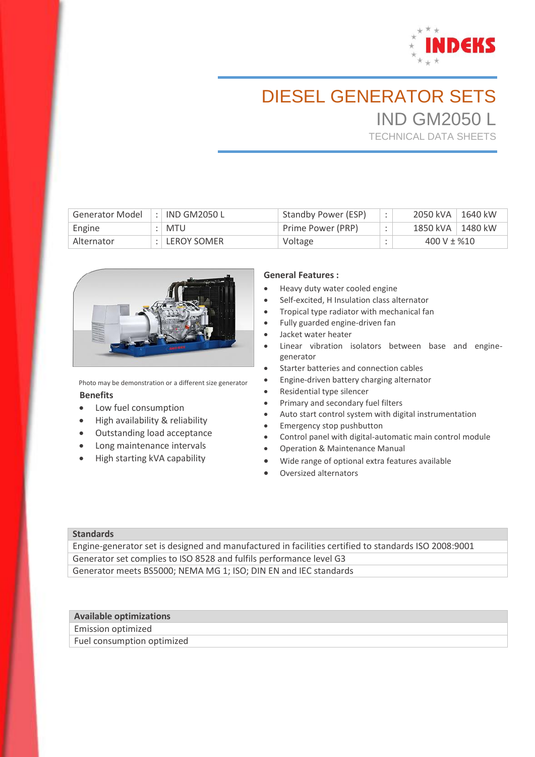

# DIESEL GENERATOR SETS IND GM2050 L

TECHNICAL DATA SHEETS

| <b>Generator Model</b> | :   IND GM2050 L         | Standby Power (ESP) | 2050 kVA<br>1640 kW |
|------------------------|--------------------------|---------------------|---------------------|
| Engine                 | MTU                      | Prime Power (PRP)   | 1850 kVA<br>1480 kW |
| Alternator             | $\therefore$ LEROY SOMER | Voltage             | 400 V $\pm$ %10     |



Photo may be demonstration or a different size generator  **Benefits**

- Low fuel consumption
- High availability & reliability
- Outstanding load acceptance
- Long maintenance intervals
- High starting kVA capability

#### **General Features :**

- Heavy duty water cooled engine
- Self-excited, H Insulation class alternator
- Tropical type radiator with mechanical fan
- Fully guarded engine-driven fan
- Jacket water heater
- Linear vibration isolators between base and enginegenerator
- **Starter batteries and connection cables**
- Engine-driven battery charging alternator
- Residential type silencer
- Primary and secondary fuel filters
- Auto start control system with digital instrumentation
- **•** Emergency stop pushbutton
- Control panel with digital-automatic main control module
- Operation & Maintenance Manual
- Wide range of optional extra features available
- Oversized alternators

#### **Standards**

Engine-generator set is designed and manufactured in facilities certified to standards ISO 2008:9001 Generator set complies to ISO 8528 and fulfils performance level G3 Generator meets BS5000; NEMA MG 1; ISO; DIN EN and IEC standards

## **Available optimizations**

Emission optimized Fuel consumption optimized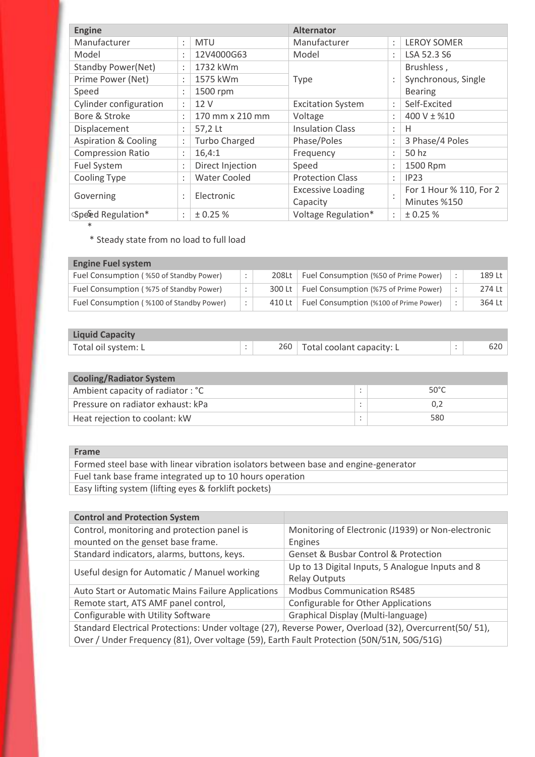| <b>Engine</b>                   |                                   |                      | <b>Alternator</b>        |                      |                         |  |
|---------------------------------|-----------------------------------|----------------------|--------------------------|----------------------|-------------------------|--|
| Manufacturer                    | $\bullet$<br>$\bullet$            | <b>MTU</b>           | Manufacturer             | $\ddot{\phantom{a}}$ | <b>LEROY SOMER</b>      |  |
| Model                           | $\bullet$<br>$\bullet$            | 12V4000G63           | Model                    | ٠<br>$\epsilon$      | LSA 52.3 S6             |  |
| <b>Standby Power(Net)</b>       | $\bullet$<br>$\cdot$              | 1732 kWm             |                          |                      | Brushless,              |  |
| Prime Power (Net)               |                                   | 1575 kWm             | <b>Type</b>              |                      | Synchronous, Single     |  |
| Speed                           | 1500 rpm<br>$\bullet$<br>$\cdot$  |                      |                          |                      | <b>Bearing</b>          |  |
| Cylinder configuration          | $\bullet$<br>$\ddot{\phantom{0}}$ | 12 V                 | <b>Excitation System</b> | $\bullet$<br>$\cdot$ | Self-Excited            |  |
| Bore & Stroke                   | $\bullet$                         | 170 mm x 210 mm      | Voltage                  | $\bullet$            | $400 V \pm %10$         |  |
| Displacement                    | $\bullet$<br>$\bullet$            | 57,2 Lt              | <b>Insulation Class</b>  | ٠<br>$\cdot$         | Н                       |  |
| <b>Aspiration &amp; Cooling</b> | $\bullet$<br>$\bullet$            | <b>Turbo Charged</b> | Phase/Poles              | ٠                    | 3 Phase/4 Poles         |  |
| <b>Compression Ratio</b>        | $\bullet$<br>$\cdot$              | 16,4:1               | Frequency                | ٠<br>$\cdot$         | 50 hz                   |  |
| Fuel System                     | $\bullet$<br>$\cdot$              | Direct Injection     | Speed                    | $\bullet$            | 1500 Rpm                |  |
| <b>Cooling Type</b>             | $\bullet$<br>$\cdot$              | <b>Water Cooled</b>  | <b>Protection Class</b>  | $\bullet$<br>$\cdot$ | IP23                    |  |
|                                 | $\bullet$                         | Electronic           | <b>Excessive Loading</b> |                      | For 1 Hour % 110, For 2 |  |
| Governing                       | $\cdot$                           |                      | Capacity                 | $\cdot$              | Minutes %150            |  |
| Speed Regulation*               | $\ddot{\cdot}$                    | ± 0.25%              | Voltage Regulation*      | $\ddot{\phantom{a}}$ | ± 0.25%                 |  |

\* Steady state from no load to full load

# **Engine Fuel system**

\*

| Fuel Consumption (%50 of Standby Power)  | ÷ | 208Lt  | Fuel Consumption (%50 of Prime Power)  | 189 Lt |
|------------------------------------------|---|--------|----------------------------------------|--------|
| Fuel Consumption (%75 of Standby Power)  | ÷ | 300 Lt | Fuel Consumption (%75 of Prime Power)  | 274 Lt |
| Fuel Consumption (%100 of Standby Power) | ÷ | 410 Lt | Fuel Consumption (%100 of Prime Power) | 364 Lt |

| <b>Liquid Capacity</b> |  |                               |  |
|------------------------|--|-------------------------------|--|
| Total oil system: L    |  | 260 Total coolant capacity: L |  |

| <b>Cooling/Radiator System</b>    |  |                |  |  |  |  |
|-----------------------------------|--|----------------|--|--|--|--|
| Ambient capacity of radiator: °C  |  | $50^{\circ}$ C |  |  |  |  |
| Pressure on radiator exhaust: kPa |  |                |  |  |  |  |
| Heat rejection to coolant: kW     |  | 580            |  |  |  |  |

### **Frame** Formed steel base with linear vibration isolators between base and engine-generator Fuel tank base frame integrated up to 10 hours operation Easy lifting system (lifting eyes & forklift pockets)

| <b>Control and Protection System</b>                                                                   |                                                     |  |  |  |
|--------------------------------------------------------------------------------------------------------|-----------------------------------------------------|--|--|--|
| Control, monitoring and protection panel is                                                            | Monitoring of Electronic (J1939) or Non-electronic  |  |  |  |
| mounted on the genset base frame.                                                                      | Engines                                             |  |  |  |
| Standard indicators, alarms, buttons, keys.                                                            | <b>Genset &amp; Busbar Control &amp; Protection</b> |  |  |  |
| Useful design for Automatic / Manuel working                                                           | Up to 13 Digital Inputs, 5 Analogue Inputs and 8    |  |  |  |
|                                                                                                        | <b>Relay Outputs</b>                                |  |  |  |
| Auto Start or Automatic Mains Failure Applications                                                     | <b>Modbus Communication RS485</b>                   |  |  |  |
| Remote start, ATS AMF panel control,                                                                   | Configurable for Other Applications                 |  |  |  |
| Configurable with Utility Software                                                                     | Graphical Display (Multi-language)                  |  |  |  |
| Standard Electrical Protections: Under voltage (27), Reverse Power, Overload (32), Overcurrent(50/51), |                                                     |  |  |  |
| Over / Under Frequency (81), Over voltage (59), Earth Fault Protection (50N/51N, 50G/51G)              |                                                     |  |  |  |